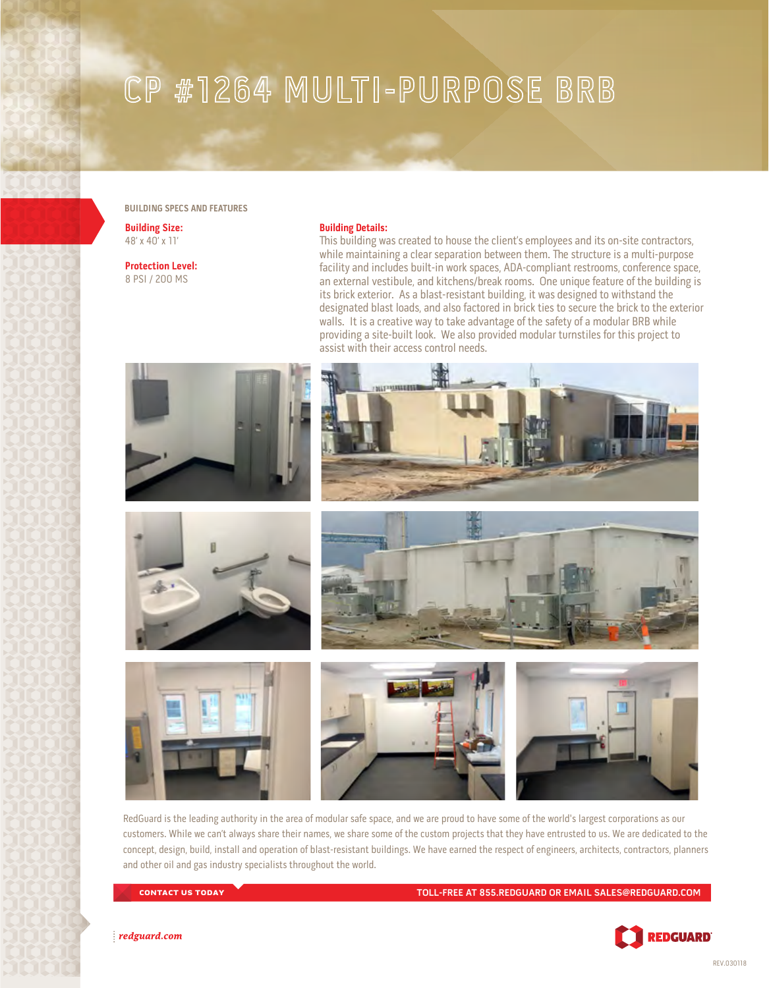## CP #1264 MULTI-PURPOSE BRB

## **BUILDING SPECS AND FEATURES**

**Building Size:** 48' x 40' x 11'

**Protection Level:** 8 PSI / 200 MS

## **Building Details:**

This building was created to house the client's employees and its on-site contractors, while maintaining a clear separation between them. The structure is a multi-purpose facility and includes built-in work spaces, ADA-compliant restrooms, conference space, an external vestibule, and kitchens/break rooms. One unique feature of the building is its brick exterior. As a blast-resistant building, it was designed to withstand the designated blast loads, and also factored in brick ties to secure the brick to the exterior walls. It is a creative way to take advantage of the safety of a modular BRB while providing a site-built look. We also provided modular turnstiles for this project to assist with their access control needs.











RedGuard is the leading authority in the area of modular safe space, and we are proud to have some of the world's largest corporations as our customers. While we can't always share their names, we share some of the custom projects that they have entrusted to us. We are dedicated to the concept, design, build, install and operation of blast-resistant buildings. We have earned the respect of engineers, architects, contractors, planners and other oil and gas industry specialists throughout the world.

CONTACT US TODAY **TOLL-FREE AT 855.REDGUARD OR EMAIL SALES@REDGUARD.COM**



redguard.com